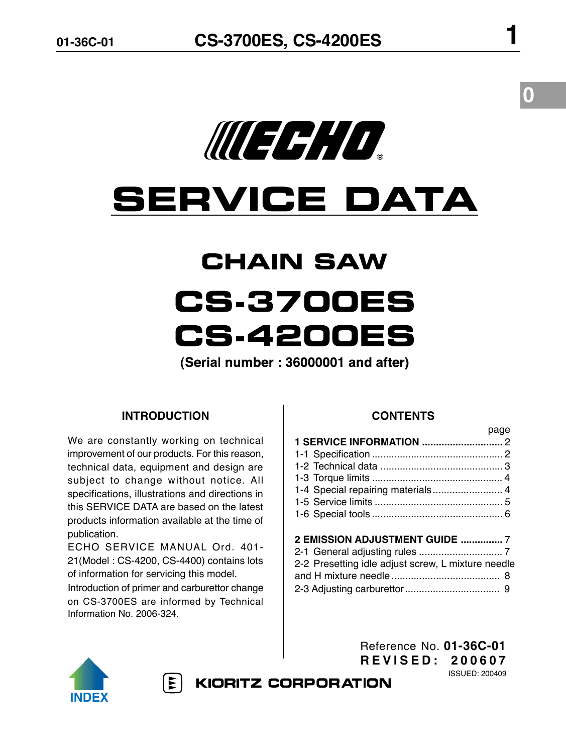

# **SERVICE DATA**

# **CHAIN SAW CS.3700ES CS.4200ES**

(Serial number: 36000001 and after)

### **INTRODUCTION**

We are constantly working on technical improvement of our products. For this reason, technical data, equipment and design are subject to change without notice. All specifications, illustrations and directions in this SERVICE DATA are based on the latest products information available at the time of publication.

ECHO SERVICE MANUAL Ord. 401- 21(Model : CS-4200, CS-4400) contains lots of information for servicing this model.

Introduction of primer and carburettor change on CS-3700ES are informed by Technical Information No. 2006-324.

### **CONTENTS**

|                                                    | page |
|----------------------------------------------------|------|
|                                                    |      |
|                                                    |      |
|                                                    |      |
|                                                    |      |
| 1-4 Special repairing materials 4                  |      |
|                                                    |      |
|                                                    |      |
|                                                    |      |
| <b>2 EMISSION ADJUSTMENT GUIDE  7</b>              |      |
|                                                    |      |
| 2-2 Presetting idle adjust screw, L mixture needle |      |

and H mixture needle ....................................... 8 2-3 Adjusting carburettor.................................. 9



 $|\mathbf{r}|$ 

Reference No. **01-36C-01 R E V I S E D : 2 0 0 6 0 7** ISSUED: 200409

**KIORITZ CORPORATION**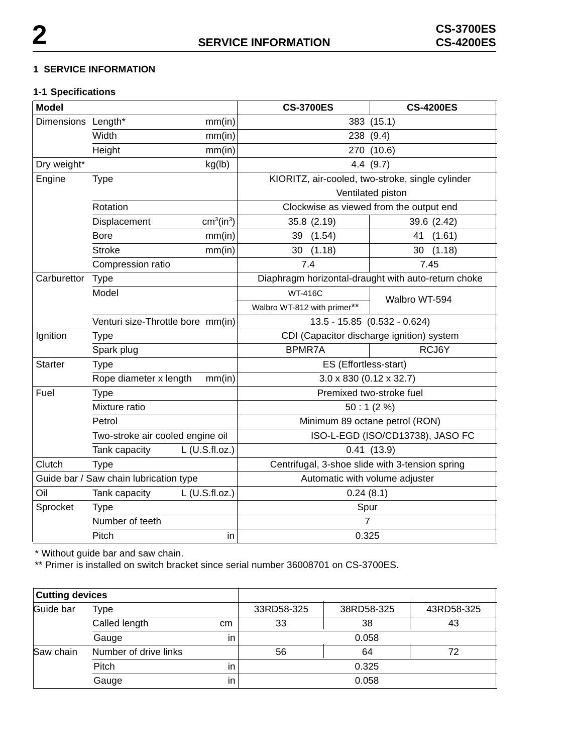#### **1 SERVICE INFORMATION**

## **1-1 Specifications**

| <b>Model</b>                           |                                   |                                           | <b>CS-3700ES</b>                                | <b>CS-4200ES</b>                                    |
|----------------------------------------|-----------------------------------|-------------------------------------------|-------------------------------------------------|-----------------------------------------------------|
| Dimensions Length*                     |                                   | mm(in)                                    |                                                 | 383 (15.1)                                          |
|                                        | Width<br>mm(in)                   |                                           | 238 (9.4)                                       |                                                     |
|                                        | Height                            | mm(in)                                    | 270                                             | (10.6)                                              |
| Dry weight*                            |                                   | kg(lb)                                    |                                                 | 4.4(9.7)                                            |
| Engine                                 | <b>Type</b>                       |                                           |                                                 | KIORITZ, air-cooled, two-stroke, single cylinder    |
|                                        |                                   |                                           | Ventilated piston                               |                                                     |
|                                        | Rotation                          |                                           | Clockwise as viewed from the output end         |                                                     |
|                                        | Displacement                      | cm <sup>3</sup> (in <sup>3</sup> )        | 35.8 (2.19)                                     | 39.6 (2.42)                                         |
|                                        | <b>Bore</b>                       | mm(in)                                    | 39 (1.54)                                       | (1.61)<br>41                                        |
|                                        | <b>Stroke</b>                     | mm(in)                                    | 30(1.18)                                        | 30(1.18)                                            |
|                                        | Compression ratio                 |                                           | 7.4                                             | 7.45                                                |
| Carburettor                            | <b>Type</b>                       |                                           |                                                 | Diaphragm horizontal-draught with auto-return choke |
|                                        | Model                             |                                           | <b>WT-416C</b>                                  | Walbro WT-594                                       |
|                                        |                                   |                                           | Walbro WT-812 with primer**                     |                                                     |
|                                        | Venturi size-Throttle bore mm(in) |                                           |                                                 | 13.5 - 15.85 (0.532 - 0.624)                        |
| Ignition<br><b>Type</b>                |                                   | CDI (Capacitor discharge ignition) system |                                                 |                                                     |
|                                        | Spark plug                        |                                           | <b>BPMR7A</b>                                   | RCJ6Y                                               |
| <b>Starter</b><br><b>Type</b>          |                                   | ES (Effortless-start)                     |                                                 |                                                     |
|                                        | Rope diameter x length            | mm(in)                                    | $3.0 \times 830$ (0.12 x 32.7)                  |                                                     |
| Fuel                                   | <b>Type</b>                       |                                           |                                                 | Premixed two-stroke fuel                            |
|                                        | Mixture ratio                     |                                           | 50:1(2%)                                        |                                                     |
|                                        | Petrol                            |                                           | Minimum 89 octane petrol (RON)                  |                                                     |
|                                        | Two-stroke air cooled engine oil  |                                           | ISO-L-EGD (ISO/CD13738), JASO FC                |                                                     |
|                                        | Tank capacity                     | $L$ (U.S.fl.oz.)                          |                                                 | 0.41(13.9)                                          |
| Clutch                                 | <b>Type</b>                       |                                           | Centrifugal, 3-shoe slide with 3-tension spring |                                                     |
| Guide bar / Saw chain lubrication type |                                   | Automatic with volume adjuster            |                                                 |                                                     |
| Oil                                    | Tank capacity<br>$L$ (U.S.fl.oz.) |                                           | 0.24(8.1)                                       |                                                     |
| Sprocket<br><b>Type</b>                |                                   | Spur                                      |                                                 |                                                     |
|                                        | Number of teeth                   |                                           | 7                                               |                                                     |
|                                        | Pitch                             | in                                        | 0.325                                           |                                                     |

\* Without guide bar and saw chain.

\*\* Primer is installed on switch bracket since serial number 36008701 on CS-3700ES.

| <b>Cutting devices</b> |                       |    |            |            |            |
|------------------------|-----------------------|----|------------|------------|------------|
| Guide bar              | Type                  |    | 33RD58-325 | 38RD58-325 | 43RD58-325 |
|                        | Called length         | cm | 33         | 38         | 43         |
|                        | Gauge                 | in |            | 0.058      |            |
| Saw chain              | Number of drive links |    | 56         | 64         | 72         |
|                        | Pitch                 | in | 0.325      |            |            |
|                        | Gauge                 | in | 0.058      |            |            |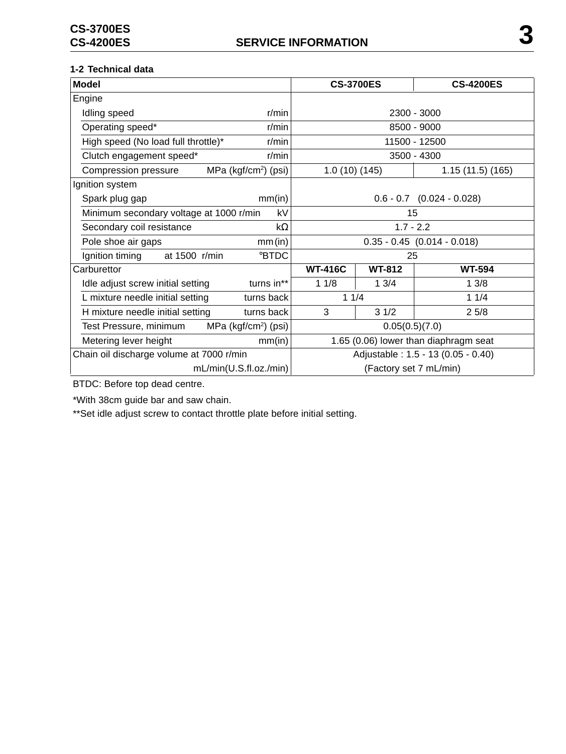#### **1-2 Technical data**

| <b>Model</b>                                               | <b>CS-3700ES</b>                   | <b>CS-4200ES</b>                      |
|------------------------------------------------------------|------------------------------------|---------------------------------------|
| Engine                                                     |                                    |                                       |
| Idling speed<br>r/min                                      |                                    | 2300 - 3000                           |
| Operating speed*<br>$r/m$ in                               | 8500 - 9000                        |                                       |
| High speed (No load full throttle)*<br>$r/m$ in            | 11500 - 12500                      |                                       |
| Clutch engagement speed*<br>r/min                          | 3500 - 4300                        |                                       |
| Compression pressure<br>MPa (kgf/cm <sup>2</sup> ) (psi)   | 1.0(10)(145)                       | 1.15(11.5)(165)                       |
| Ignition system                                            |                                    |                                       |
| Spark plug gap<br>mm(in)                                   |                                    | $0.6 - 0.7$ $(0.024 - 0.028)$         |
| Minimum secondary voltage at 1000 r/min<br>kV              | 15                                 |                                       |
| Secondary coil resistance<br>$k\Omega$                     |                                    | $1.7 - 2.2$                           |
| Pole shoe air gaps<br>mm(in)                               |                                    | $0.35 - 0.45$ (0.014 - 0.018)         |
| <b>BTDC</b><br>Ignition timing<br>at 1500 r/min            |                                    | 25                                    |
| Carburettor                                                | <b>WT-416C</b><br><b>WT-812</b>    | <b>WT-594</b>                         |
| turns in**<br>Idle adjust screw initial setting            | 11/8<br>13/4                       | 13/8                                  |
| L mixture needle initial setting<br>turns back             | 11/4                               | 11/4                                  |
| turns back<br>H mixture needle initial setting             | 3<br>31/2                          | 25/8                                  |
| MPa (kgf/cm <sup>2</sup> ) (psi)<br>Test Pressure, minimum |                                    | 0.05(0.5)(7.0)                        |
| Metering lever height<br>mm(in)                            |                                    | 1.65 (0.06) lower than diaphragm seat |
| Chain oil discharge volume at 7000 r/min                   | Adjustable: 1.5 - 13 (0.05 - 0.40) |                                       |
| mL/min(U.S.fl.oz./min)                                     |                                    | (Factory set 7 mL/min)                |

BTDC: Before top dead centre.

\*With 38cm guide bar and saw chain.

\*\*Set idle adjust screw to contact throttle plate before initial setting.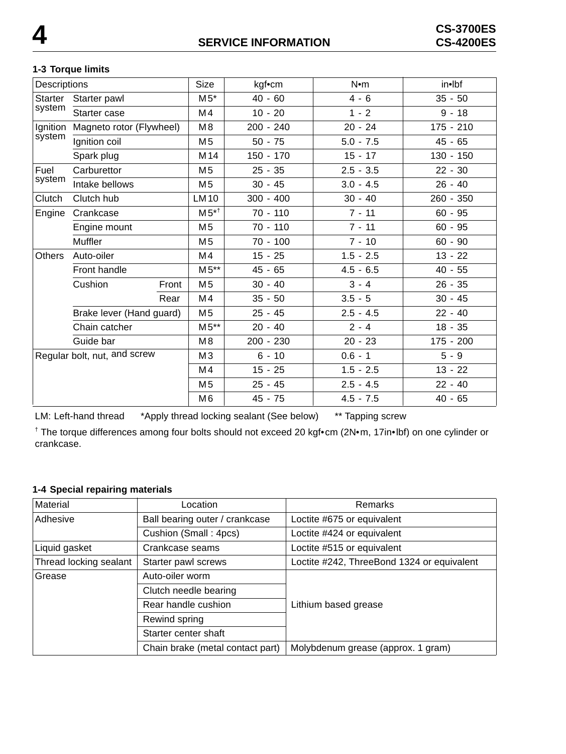# **1-3 Torque limits**

| Descriptions                 |                          | <b>Size</b>     | kgf•cm      | N•m         | in•lbf      |
|------------------------------|--------------------------|-----------------|-------------|-------------|-------------|
| <b>Starter</b>               | Starter pawl             | $M5*$           | $40 - 60$   | $4 - 6$     | $35 - 50$   |
| system                       | Starter case             | M4              | $10 - 20$   | $1 - 2$     | $9 - 18$    |
| Ignition                     | Magneto rotor (Flywheel) | M <sub>8</sub>  | 200 - 240   | $20 - 24$   | 175 - 210   |
| system                       | Ignition coil            | M <sub>5</sub>  | $50 - 75$   | $5.0 - 7.5$ | $45 - 65$   |
|                              | Spark plug               | M <sub>14</sub> | $150 - 170$ | $15 - 17$   | $130 - 150$ |
| Fuel                         | Carburettor              | M <sub>5</sub>  | $25 - 35$   | $2.5 - 3.5$ | $22 - 30$   |
| system                       | Intake bellows           | M <sub>5</sub>  | $30 - 45$   | $3.0 - 4.5$ | $26 - 40$   |
| Clutch                       | Clutch hub               | LM 10           | $300 - 400$ | $30 - 40$   | 260 - 350   |
| Engine                       | Crankcase                | $M5^{*}$        | $70 - 110$  | $7 - 11$    | $60 - 95$   |
|                              | Engine mount             | M <sub>5</sub>  | $70 - 110$  | $7 - 11$    | $60 - 95$   |
|                              | Muffler                  | M <sub>5</sub>  | $70 - 100$  | $7 - 10$    | $60 - 90$   |
| <b>Others</b>                | Auto-oiler               | M4              | $15 - 25$   | $1.5 - 2.5$ | $13 - 22$   |
|                              | Front handle             | $M5**$          | $45 - 65$   | $4.5 - 6.5$ | $40 - 55$   |
|                              | Cushion<br>Front         | M <sub>5</sub>  | $30 - 40$   | $3 - 4$     | $26 - 35$   |
|                              | Rear                     | M4              | $35 - 50$   | $3.5 - 5$   | $30 - 45$   |
|                              | Brake lever (Hand guard) | M <sub>5</sub>  | $25 - 45$   | $2.5 - 4.5$ | $22 - 40$   |
|                              | Chain catcher            | $M5**$          | $20 - 40$   | $2 - 4$     | $18 - 35$   |
|                              | Guide bar                | M8              | 200 - 230   | $20 - 23$   | $175 - 200$ |
| Regular bolt, nut, and screw |                          | M <sub>3</sub>  | $6 - 10$    | $0.6 - 1$   | $5 - 9$     |
|                              |                          | M4              | $15 - 25$   | $1.5 - 2.5$ | $13 - 22$   |
|                              |                          | M <sub>5</sub>  | $25 - 45$   | $2.5 - 4.5$ | $22 - 40$   |
|                              |                          | M <sub>6</sub>  | 45 - 75     | $4.5 - 7.5$ | $40 - 65$   |

LM: Left-hand thread \*Apply thread locking sealant (See below) \*\* Tapping screw

† The torque differences among four bolts should not exceed 20 kgf•cm (2N•m, 17in•lbf) on one cylinder or crankcase.

### **1-4 Special repairing materials**

| Material                                   | Location                         | <b>Remarks</b>                             |  |
|--------------------------------------------|----------------------------------|--------------------------------------------|--|
| Adhesive<br>Ball bearing outer / crankcase |                                  | Loctite #675 or equivalent                 |  |
|                                            | Cushion (Small: 4pcs)            | Loctite #424 or equivalent                 |  |
| Liquid gasket                              | Crankcase seams                  | Loctite #515 or equivalent                 |  |
| Thread locking sealant                     | Starter pawl screws              | Loctite #242, ThreeBond 1324 or equivalent |  |
| Grease                                     | Auto-oiler worm                  |                                            |  |
|                                            | Clutch needle bearing            |                                            |  |
|                                            | Rear handle cushion              | Lithium based grease                       |  |
|                                            | Rewind spring                    |                                            |  |
|                                            | Starter center shaft             |                                            |  |
|                                            | Chain brake (metal contact part) | Molybdenum grease (approx. 1 gram)         |  |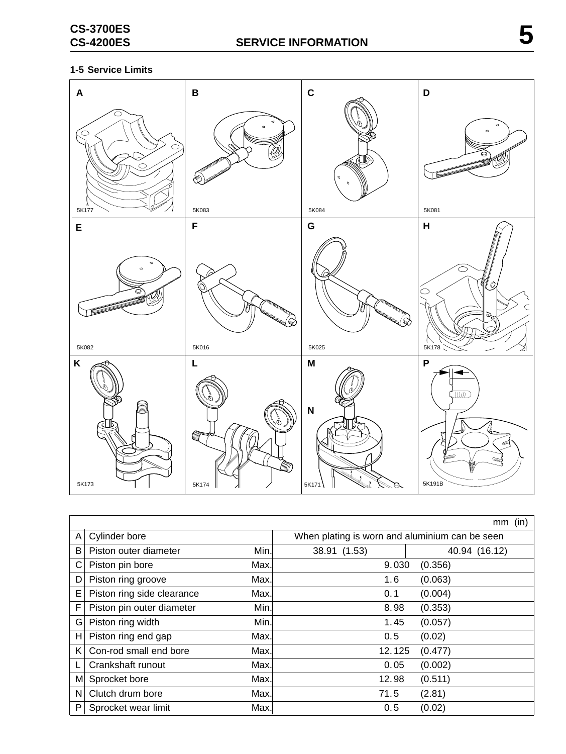# **1-5 Service Limits**



|   |                            |       |                                                | (in)<br>mm    |
|---|----------------------------|-------|------------------------------------------------|---------------|
| A | Cylinder bore              |       | When plating is worn and aluminium can be seen |               |
| B | Piston outer diameter      | Min.  | 38.91 (1.53)                                   | 40.94 (16.12) |
| С | Piston pin bore            | Max.  | 9.030                                          | (0.356)       |
| D | Piston ring groove         | Max.  | 1.6                                            | (0.063)       |
| Е | Piston ring side clearance | Max.l | 0.1                                            | (0.004)       |
| F | Piston pin outer diameter  | Min.  | 8.98                                           | (0.353)       |
| G | Piston ring width          | Min.  | 1.45                                           | (0.057)       |
| н | Piston ring end gap        | Max.  | 0.5                                            | (0.02)        |
| K | Con-rod small end bore     | Max.  | 12.125                                         | (0.477)       |
|   | Crankshaft runout          | Max.  | 0.05                                           | (0.002)       |
| M | Sprocket bore              | Max.  | 12.98                                          | (0.511)       |
| N | Clutch drum bore           | Max.  | 71.5                                           | (2.81)        |
| P | Sprocket wear limit        | Max.  | 0.5                                            | (0.02)        |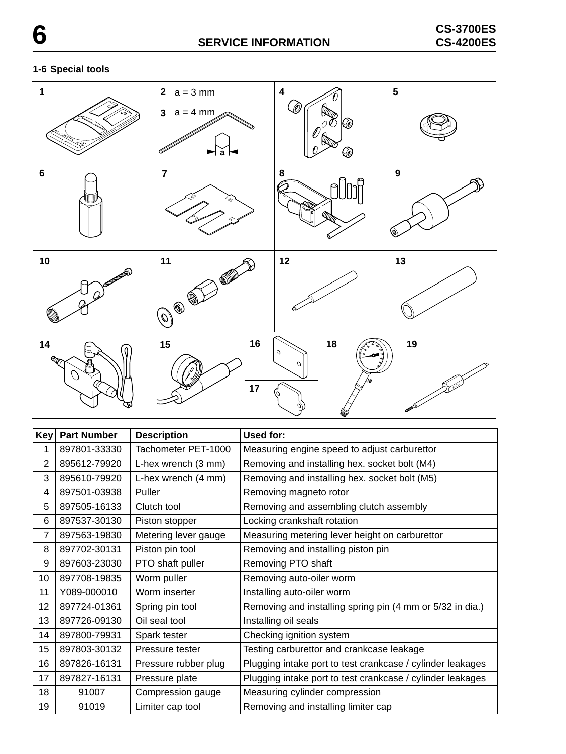# **SERVICE INFORMATION CS-3700ES 6 CS-4200ES**

### **1-6 Special tools**



| Key <sub>l</sub> | <b>Part Number</b> | <b>Description</b>   | Used for:                                                  |
|------------------|--------------------|----------------------|------------------------------------------------------------|
| 1                | 897801-33330       | Tachometer PET-1000  | Measuring engine speed to adjust carburettor               |
| 2                | 895612-79920       | L-hex wrench (3 mm)  | Removing and installing hex. socket bolt (M4)              |
| 3                | 895610-79920       | L-hex wrench (4 mm)  | Removing and installing hex. socket bolt (M5)              |
| 4                | 897501-03938       | Puller               | Removing magneto rotor                                     |
| 5                | 897505-16133       | Clutch tool          | Removing and assembling clutch assembly                    |
| 6                | 897537-30130       | Piston stopper       | Locking crankshaft rotation                                |
| $\overline{7}$   | 897563-19830       | Metering lever gauge | Measuring metering lever height on carburettor             |
| 8                | 897702-30131       | Piston pin tool      | Removing and installing piston pin                         |
| 9                | 897603-23030       | PTO shaft puller     | Removing PTO shaft                                         |
| 10               | 897708-19835       | Worm puller          | Removing auto-oiler worm                                   |
| 11               | Y089-000010        | Worm inserter        | Installing auto-oiler worm                                 |
| 12               | 897724-01361       | Spring pin tool      | Removing and installing spring pin (4 mm or 5/32 in dia.)  |
| 13               | 897726-09130       | Oil seal tool        | Installing oil seals                                       |
| 14               | 897800-79931       | Spark tester         | Checking ignition system                                   |
| 15               | 897803-30132       | Pressure tester      | Testing carburettor and crankcase leakage                  |
| 16               | 897826-16131       | Pressure rubber plug | Plugging intake port to test crankcase / cylinder leakages |
| 17               | 897827-16131       | Pressure plate       | Plugging intake port to test crankcase / cylinder leakages |
| 18               | 91007              | Compression gauge    | Measuring cylinder compression                             |
| 19               | 91019              | Limiter cap tool     | Removing and installing limiter cap                        |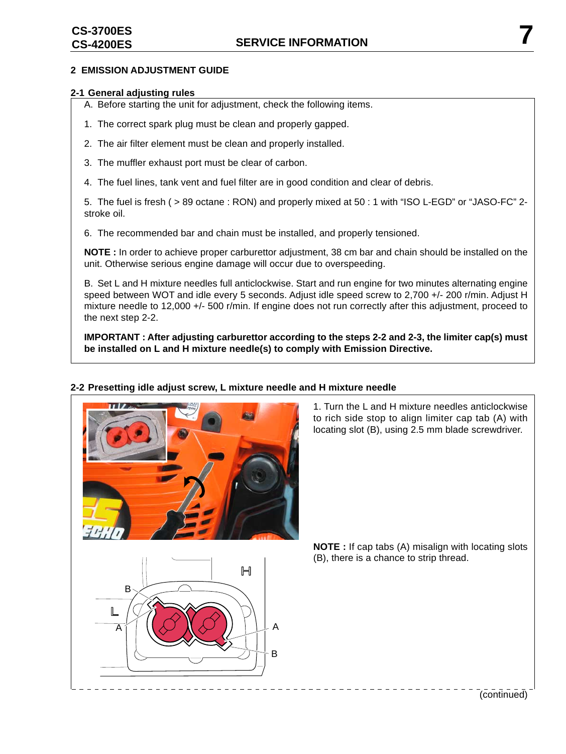#### **2 EMISSION ADJUSTMENT GUIDE**

#### **2-1 General adjusting rules**

A. Before starting the unit for adjustment, check the following items.

- 1. The correct spark plug must be clean and properly gapped.
- 2. The air filter element must be clean and properly installed.
- 3. The muffler exhaust port must be clear of carbon.
- 4. The fuel lines, tank vent and fuel filter are in good condition and clear of debris.

5. The fuel is fresh ( > 89 octane : RON) and properly mixed at 50 : 1 with "ISO L-EGD" or "JASO-FC" 2 stroke oil.

6. The recommended bar and chain must be installed, and properly tensioned.

**NOTE :** In order to achieve proper carburettor adjustment, 38 cm bar and chain should be installed on the unit. Otherwise serious engine damage will occur due to overspeeding.

B. Set L and H mixture needles full anticlockwise. Start and run engine for two minutes alternating engine speed between WOT and idle every 5 seconds. Adjust idle speed screw to 2,700 +/- 200 r/min. Adjust H mixture needle to 12,000 +/- 500 r/min. If engine does not run correctly after this adjustment, proceed to the next step 2-2.

**IMPORTANT : After adjusting carburettor according to the steps 2-2 and 2-3, the limiter cap(s) must be installed on L and H mixture needle(s) to comply with Emission Directive.**



# **2-2 Presetting idle adjust screw, L mixture needle and H mixture needle**

1. Turn the L and H mixture needles anticlockwise to rich side stop to align limiter cap tab (A) with locating slot (B), using 2.5 mm blade screwdriver.

**NOTE :** If cap tabs (A) misalign with locating slots (B), there is a chance to strip thread.



(continued)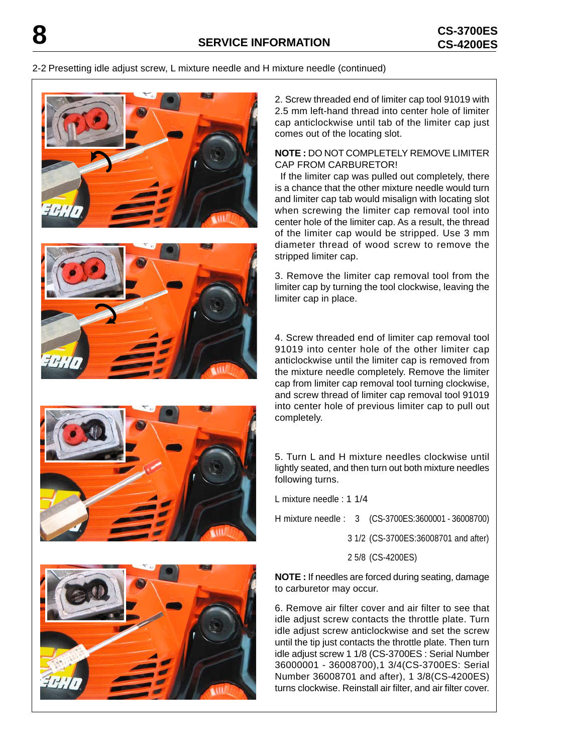#### 2-2 Presetting idle adjust screw, L mixture needle and H mixture needle (continued)









2. Screw threaded end of limiter cap tool 91019 with 2.5 mm left-hand thread into center hole of limiter cap anticlockwise until tab of the limiter cap just comes out of the locating slot.

#### **NOTE :** DO NOT COMPLETELY REMOVE LIMITER CAP FROM CARBURETOR!

 If the limiter cap was pulled out completely, there is a chance that the other mixture needle would turn and limiter cap tab would misalign with locating slot when screwing the limiter cap removal tool into center hole of the limiter cap. As a result, the thread of the limiter cap would be stripped. Use 3 mm diameter thread of wood screw to remove the stripped limiter cap.

3. Remove the limiter cap removal tool from the limiter cap by turning the tool clockwise, leaving the limiter cap in place.

4. Screw threaded end of limiter cap removal tool 91019 into center hole of the other limiter cap anticlockwise until the limiter cap is removed from the mixture needle completely. Remove the limiter cap from limiter cap removal tool turning clockwise, and screw thread of limiter cap removal tool 91019 into center hole of previous limiter cap to pull out completely.

5. Turn L and H mixture needles clockwise until lightly seated, and then turn out both mixture needles following turns.

L mixture needle : 1 1/4

H mixture needle : 3 (CS-3700ES:3600001 - 36008700)

3 1/2 (CS-3700ES:36008701 and after)

2 5/8 (CS-4200ES)

**NOTE :** If needles are forced during seating, damage to carburetor may occur.

6. Remove air filter cover and air filter to see that idle adjust screw contacts the throttle plate. Turn idle adjust screw anticlockwise and set the screw until the tip just contacts the throttle plate. Then turn idle adjust screw 1 1/8 (CS-3700ES : Serial Number 36000001 - 36008700),1 3/4(CS-3700ES: Serial Number 36008701 and after), 1 3/8(CS-4200ES) turns clockwise. Reinstall air filter, and air filter cover.